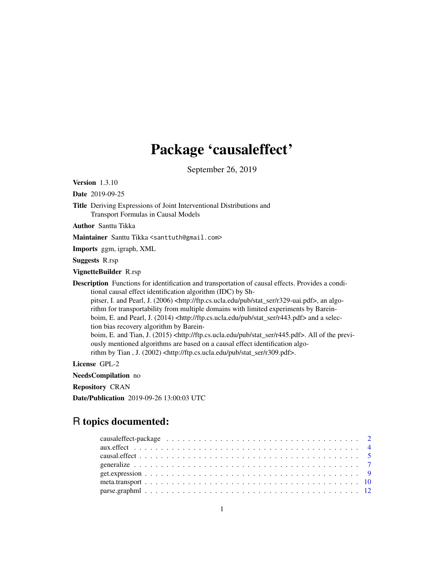## Package 'causaleffect'

September 26, 2019

Version 1.3.10

Date 2019-09-25

Title Deriving Expressions of Joint Interventional Distributions and Transport Formulas in Causal Models

Author Santtu Tikka

Maintainer Santtu Tikka <santtuth@gmail.com>

Imports ggm, igraph, XML

Suggests R.rsp

VignetteBuilder R.rsp

Description Functions for identification and transportation of causal effects. Provides a conditional causal effect identification algorithm (IDC) by Sh-

pitser, I. and Pearl, J. (2006) <http://ftp.cs.ucla.edu/pub/stat\_ser/r329-uai.pdf>, an algorithm for transportability from multiple domains with limited experiments by Bareinboim, E. and Pearl, J. (2014) <http://ftp.cs.ucla.edu/pub/stat\_ser/r443.pdf> and a selection bias recovery algorithm by Barein-

boim, E. and Tian, J. (2015) <http://ftp.cs.ucla.edu/pub/stat\_ser/r445.pdf>. All of the previously mentioned algorithms are based on a causal effect identification algorithm by Tian , J. (2002) <http://ftp.cs.ucla.edu/pub/stat\_ser/r309.pdf>.

License GPL-2

NeedsCompilation no

Repository CRAN

Date/Publication 2019-09-26 13:00:03 UTC

### R topics documented: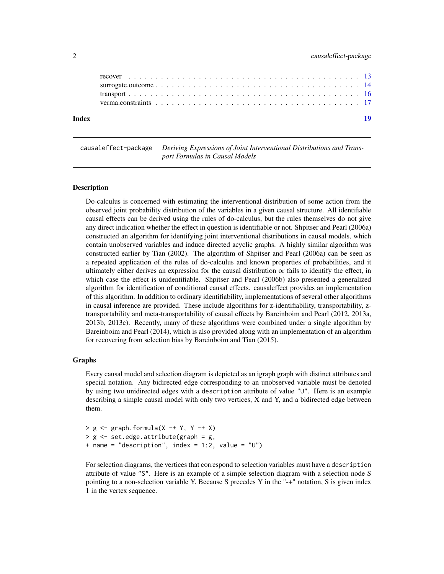<span id="page-1-0"></span>

| Index |  |  |  |  |  |  |  |  |  |  |  |  |  |  |  |  |
|-------|--|--|--|--|--|--|--|--|--|--|--|--|--|--|--|--|
|       |  |  |  |  |  |  |  |  |  |  |  |  |  |  |  |  |
|       |  |  |  |  |  |  |  |  |  |  |  |  |  |  |  |  |
|       |  |  |  |  |  |  |  |  |  |  |  |  |  |  |  |  |
|       |  |  |  |  |  |  |  |  |  |  |  |  |  |  |  |  |

causaleffect-package *Deriving Expressions of Joint Interventional Distributions and Transport Formulas in Causal Models*

#### Description

Do-calculus is concerned with estimating the interventional distribution of some action from the observed joint probability distribution of the variables in a given causal structure. All identifiable causal effects can be derived using the rules of do-calculus, but the rules themselves do not give any direct indication whether the effect in question is identifiable or not. Shpitser and Pearl (2006a) constructed an algorithm for identifying joint interventional distributions in causal models, which contain unobserved variables and induce directed acyclic graphs. A highly similar algorithm was constructed earlier by Tian (2002). The algorithm of Shpitser and Pearl (2006a) can be seen as a repeated application of the rules of do-calculus and known properties of probabilities, and it ultimately either derives an expression for the causal distribution or fails to identify the effect, in which case the effect is unidentifiable. Shpitser and Pearl (2006b) also presented a generalized algorithm for identification of conditional causal effects. causaleffect provides an implementation of this algorithm. In addition to ordinary identifiability, implementations of several other algorithms in causal inference are provided. These include algorithms for z-identifiability, transportability, ztransportability and meta-transportability of causal effects by Bareinboim and Pearl (2012, 2013a, 2013b, 2013c). Recently, many of these algorithms were combined under a single algorithm by Bareinboim and Pearl (2014), which is also provided along with an implementation of an algorithm for recovering from selection bias by Bareinboim and Tian (2015).

#### Graphs

Every causal model and selection diagram is depicted as an igraph graph with distinct attributes and special notation. Any bidirected edge corresponding to an unobserved variable must be denoted by using two unidirected edges with a description attribute of value "U". Here is an example describing a simple causal model with only two vertices, X and Y, and a bidirected edge between them.

 $> g$  <- graph.formula(X -+ Y, Y -+ X) > g <- set.edge.attribute(graph = g, + name = "description", index = 1:2, value = "U")

For selection diagrams, the vertices that correspond to selection variables must have a description attribute of value "S". Here is an example of a simple selection diagram with a selection node S pointing to a non-selection variable Y. Because S precedes Y in the "-+" notation, S is given index 1 in the vertex sequence.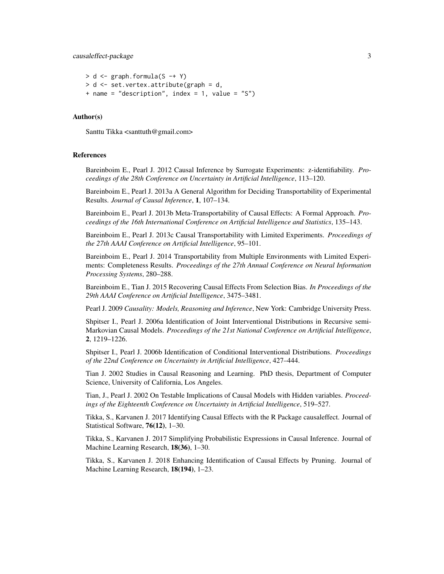#### causaleffect-package 3

```
> d \leq graph.formula(S -+ Y)
> d <- set.vertex.attribute(graph = d,
+ name = "description", index = 1, value = "S")
```
#### Author(s)

Santtu Tikka <santtuth@gmail.com>

#### References

Bareinboim E., Pearl J. 2012 Causal Inference by Surrogate Experiments: z-identifiability. *Proceedings of the 28th Conference on Uncertainty in Artificial Intelligence*, 113–120.

Bareinboim E., Pearl J. 2013a A General Algorithm for Deciding Transportability of Experimental Results. *Journal of Causal Inference*, 1, 107–134.

Bareinboim E., Pearl J. 2013b Meta-Transportability of Causal Effects: A Formal Approach. *Proceedings of the 16th International Conference on Artificial Intelligence and Statistics*, 135–143.

Bareinboim E., Pearl J. 2013c Causal Transportability with Limited Experiments. *Proceedings of the 27th AAAI Conference on Artificial Intelligence*, 95–101.

Bareinboim E., Pearl J. 2014 Transportability from Multiple Environments with Limited Experiments: Completeness Results. *Proceedings of the 27th Annual Conference on Neural Information Processing Systems*, 280–288.

Bareinboim E., Tian J. 2015 Recovering Causal Effects From Selection Bias. *In Proceedings of the 29th AAAI Conference on Artificial Intelligence*, 3475–3481.

Pearl J. 2009 *Causality: Models, Reasoning and Inference*, New York: Cambridge University Press.

Shpitser I., Pearl J. 2006a Identification of Joint Interventional Distributions in Recursive semi-Markovian Causal Models. *Proceedings of the 21st National Conference on Artificial Intelligence*, 2, 1219–1226.

Shpitser I., Pearl J. 2006b Identification of Conditional Interventional Distributions. *Proceedings of the 22nd Conference on Uncertainty in Artificial Intelligence*, 427–444.

Tian J. 2002 Studies in Causal Reasoning and Learning. PhD thesis, Department of Computer Science, University of California, Los Angeles.

Tian, J., Pearl J. 2002 On Testable Implications of Causal Models with Hidden variables. *Proceedings of the Eighteenth Conference on Uncertainty in Artificial Intelligence*, 519–527.

Tikka, S., Karvanen J. 2017 Identifying Causal Effects with the R Package causaleffect. Journal of Statistical Software, 76(12), 1–30.

Tikka, S., Karvanen J. 2017 Simplifying Probabilistic Expressions in Causal Inference. Journal of Machine Learning Research, 18(36), 1–30.

Tikka, S., Karvanen J. 2018 Enhancing Identification of Causal Effects by Pruning. Journal of Machine Learning Research, 18(194), 1–23.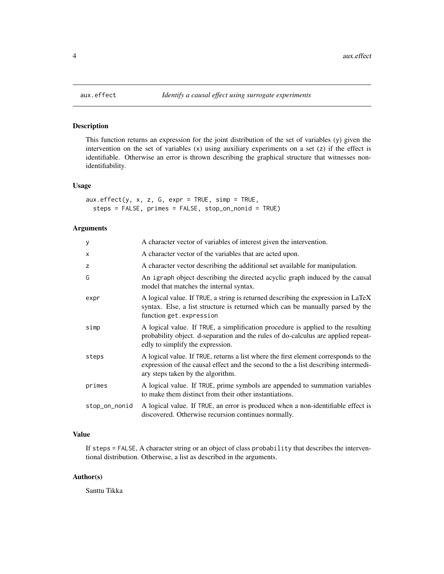<span id="page-3-1"></span><span id="page-3-0"></span>

#### Description

This function returns an expression for the joint distribution of the set of variables (y) given the intervention on the set of variables  $(x)$  using auxiliary experiments on a set  $(z)$  if the effect is identifiable. Otherwise an error is thrown describing the graphical structure that witnesses nonidentifiability.

#### Usage

 $aux.effect(y, x, z, G, expr = TRUE, simp = TRUE,$ steps = FALSE, primes = FALSE, stop\_on\_nonid = TRUE)

#### Arguments

| У             | A character vector of variables of interest given the intervention.                                                                                                                                            |
|---------------|----------------------------------------------------------------------------------------------------------------------------------------------------------------------------------------------------------------|
| X             | A character vector of the variables that are acted upon.                                                                                                                                                       |
| z             | A character vector describing the additional set available for manipulation.                                                                                                                                   |
| G             | An igraph object describing the directed acyclic graph induced by the causal<br>model that matches the internal syntax.                                                                                        |
| expr          | A logical value. If TRUE, a string is returned describing the expression in LaTeX<br>syntax. Else, a list structure is returned which can be manually parsed by the<br>function get.expression                 |
| simp          | A logical value. If TRUE, a simplification procedure is applied to the resulting<br>probability object. d-separation and the rules of do-calculus are applied repeat-<br>edly to simplify the expression.      |
| steps         | A logical value. If TRUE, returns a list where the first element corresponds to the<br>expression of the causal effect and the second to the a list describing intermedi-<br>ary steps taken by the algorithm. |
| primes        | A logical value. If TRUE, prime symbols are appended to summation variables<br>to make them distinct from their other instantiations.                                                                          |
| stop_on_nonid | A logical value. If TRUE, an error is produced when a non-identifiable effect is<br>discovered. Otherwise recursion continues normally.                                                                        |
|               |                                                                                                                                                                                                                |

#### Value

If steps = FALSE, A character string or an object of class probability that describes the interventional distribution. Otherwise, a list as described in the arguments.

#### Author(s)

Santtu Tikka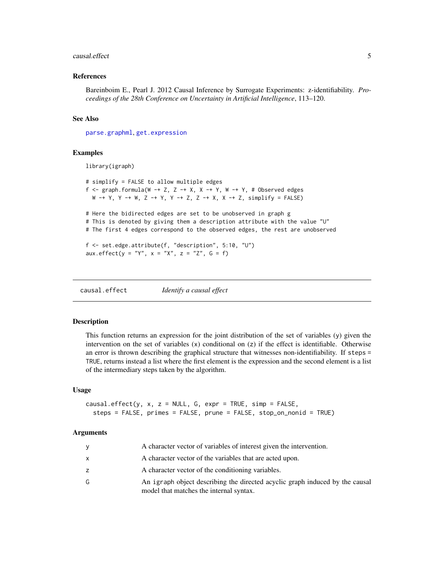#### <span id="page-4-0"></span>causal.effect 5

#### References

Bareinboim E., Pearl J. 2012 Causal Inference by Surrogate Experiments: z-identifiability. *Proceedings of the 28th Conference on Uncertainty in Artificial Intelligence*, 113–120.

#### See Also

[parse.graphml](#page-11-1), [get.expression](#page-8-1)

#### Examples

library(igraph)

```
# simplify = FALSE to allow multiple edges
f \le graph.formula(W -+ Z, Z -+ X, X -+ Y, W -+ Y, # Observed edges
 W -+ Y, Y -+ W, Z -+ Y, Y -+ Z, Z -+ X, X -+ Z, simplify = FALSE)
# Here the bidirected edges are set to be unobserved in graph g
# This is denoted by giving them a description attribute with the value "U"
# The first 4 edges correspond to the observed edges, the rest are unobserved
f <- set.edge.attribute(f, "description", 5:10, "U")
aux.effect(y = "Y", x = "X", z = "Z", G = f)
```
<span id="page-4-1"></span>causal.effect *Identify a causal effect*

#### Description

This function returns an expression for the joint distribution of the set of variables (y) given the intervention on the set of variables  $(x)$  conditional on  $(z)$  if the effect is identifiable. Otherwise an error is thrown describing the graphical structure that witnesses non-identifiability. If steps = TRUE, returns instead a list where the first element is the expression and the second element is a list of the intermediary steps taken by the algorithm.

#### Usage

```
causal.effect(y, x, z = NULL, G, expr = TRUE, simp = FALSE,
  steps = FALSE, primes = FALSE, prune = FALSE, stop_on_nonid = TRUE)
```

| y            | A character vector of variables of interest given the intervention.                                                     |
|--------------|-------------------------------------------------------------------------------------------------------------------------|
| $\mathsf{x}$ | A character vector of the variables that are acted upon.                                                                |
| z            | A character vector of the conditioning variables.                                                                       |
| G            | An igraph object describing the directed acyclic graph induced by the causal<br>model that matches the internal syntax. |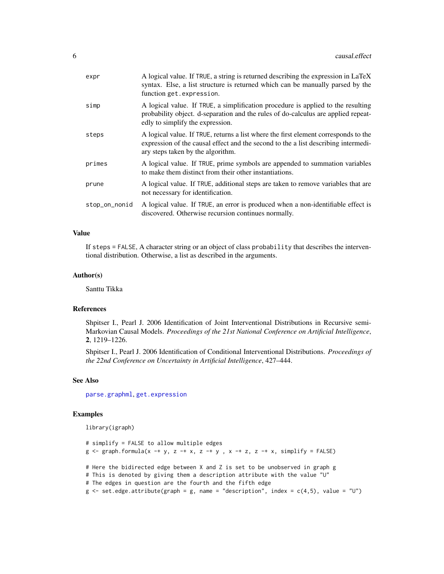<span id="page-5-0"></span>

| expr          | A logical value. If TRUE, a string is returned describing the expression in LaTeX<br>syntax. Else, a list structure is returned which can be manually parsed by the<br>function get.expression.                |
|---------------|----------------------------------------------------------------------------------------------------------------------------------------------------------------------------------------------------------------|
| simp          | A logical value. If TRUE, a simplification procedure is applied to the resulting<br>probability object. d-separation and the rules of do-calculus are applied repeat-<br>edly to simplify the expression.      |
| steps         | A logical value. If TRUE, returns a list where the first element corresponds to the<br>expression of the causal effect and the second to the a list describing intermedi-<br>ary steps taken by the algorithm. |
| primes        | A logical value. If TRUE, prime symbols are appended to summation variables<br>to make them distinct from their other instantiations.                                                                          |
| prune         | A logical value. If TRUE, additional steps are taken to remove variables that are<br>not necessary for identification.                                                                                         |
| stop_on_nonid | A logical value. If TRUE, an error is produced when a non-identifiable effect is<br>discovered. Otherwise recursion continues normally.                                                                        |

If steps = FALSE, A character string or an object of class probability that describes the interventional distribution. Otherwise, a list as described in the arguments.

#### Author(s)

Santtu Tikka

#### References

Shpitser I., Pearl J. 2006 Identification of Joint Interventional Distributions in Recursive semi-Markovian Causal Models. *Proceedings of the 21st National Conference on Artificial Intelligence*, 2, 1219–1226.

Shpitser I., Pearl J. 2006 Identification of Conditional Interventional Distributions. *Proceedings of the 22nd Conference on Uncertainty in Artificial Intelligence*, 427–444.

#### See Also

[parse.graphml](#page-11-1), [get.expression](#page-8-1)

#### Examples

library(igraph)

```
# simplify = FALSE to allow multiple edges
g \leq g raph.formula(x -+ y, z -+ x, z -+ y, x -+ z, z -+ x, simplify = FALSE)
# Here the bidirected edge between X and Z is set to be unobserved in graph g
# This is denoted by giving them a description attribute with the value "U"
# The edges in question are the fourth and the fifth edge
g \leftarrow set-edge.attribute(graph = g, name = "description", index = c(4,5), value = "U")
```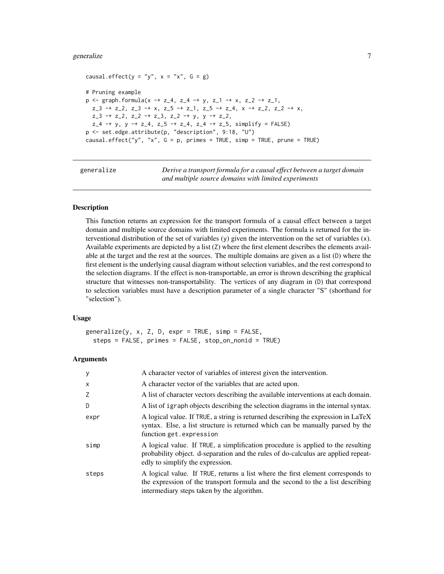#### <span id="page-6-0"></span>generalize **7**

```
causal.effect(y = "y", x = "x", G = g)
# Pruning example
p \leq - graph.formula(x -+ z<sub>-</sub>4, z<sub>-</sub>4 -+ y, z<sub>-</sub>1 -+ x, z<sub>-</sub>2 -+ z<sub>-</sub>1,
  z_{-3} -+ z_{-2}, z_{-3} -+ x, z_{-5} -+ z_{-1}, z_{-5} -+ z_{-4}, x -+ z_{-2}, z_{-2} -+ x,
  z_{-3} -+ z_{-2}, z_{-2} -+ z_{-3}, z_{-2} -+ y, y -+ z_{-2},
  z_4 -+ y, y -+ z_4, z_5 -+ z_4, z_4 -+ z_5, simplify = FALSE)
p <- set.edge.attribute(p, "description", 9:18, "U")
causal.effect("y", "x", G = p, primes = TRUE, simp = TRUE, prune = TRUE)
```
generalize *Derive a transport formula for a causal effect between a target domain and multiple source domains with limited experiments*

#### Description

This function returns an expression for the transport formula of a causal effect between a target domain and multiple source domains with limited experiments. The formula is returned for the interventional distribution of the set of variables (y) given the intervention on the set of variables (x). Available experiments are depicted by a list (Z) where the first element describes the elements available at the target and the rest at the sources. The multiple domains are given as a list (D) where the first element is the underlying causal diagram without selection variables, and the rest correspond to the selection diagrams. If the effect is non-transportable, an error is thrown describing the graphical structure that witnesses non-transportability. The vertices of any diagram in (D) that correspond to selection variables must have a description parameter of a single character "S" (shorthand for "selection").

#### Usage

 $generalize(y, x, Z, D, expr = TRUE, simp = FALSE,$ steps = FALSE, primes = FALSE, stop\_on\_nonid = TRUE)

| y        | A character vector of variables of interest given the intervention.                                                                                                                                              |
|----------|------------------------------------------------------------------------------------------------------------------------------------------------------------------------------------------------------------------|
| $\times$ | A character vector of the variables that are acted upon.                                                                                                                                                         |
| Z        | A list of character vectors describing the available interventions at each domain.                                                                                                                               |
| D        | A list of igraph objects describing the selection diagrams in the internal syntax.                                                                                                                               |
| expr     | A logical value. If TRUE, a string is returned describing the expression in LaTeX<br>syntax. Else, a list structure is returned which can be manually parsed by the<br>function get.expression                   |
| simp     | A logical value. If TRUE, a simplification procedure is applied to the resulting<br>probability object. d-separation and the rules of do-calculus are applied repeat-<br>edly to simplify the expression.        |
| steps    | A logical value. If TRUE, returns a list where the first element corresponds to<br>the expression of the transport formula and the second to the a list describing<br>intermediary steps taken by the algorithm. |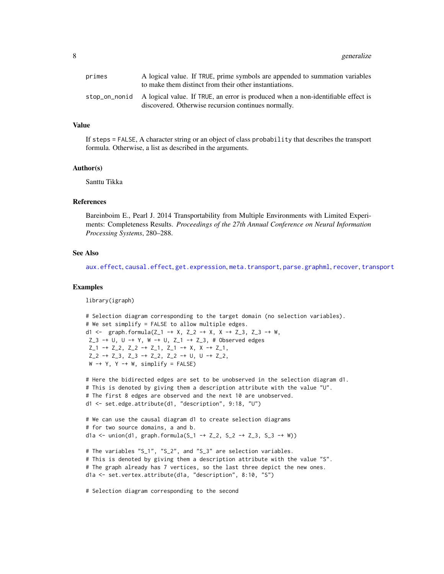<span id="page-7-0"></span>

| primes | A logical value. If TRUE, prime symbols are appended to summation variables<br>to make them distinct from their other instantiations.                 |
|--------|-------------------------------------------------------------------------------------------------------------------------------------------------------|
|        | stop_on_nonid A logical value. If TRUE, an error is produced when a non-identifiable effect is<br>discovered. Otherwise recursion continues normally. |

If steps = FALSE, A character string or an object of class probability that describes the transport formula. Otherwise, a list as described in the arguments.

#### Author(s)

Santtu Tikka

#### References

Bareinboim E., Pearl J. 2014 Transportability from Multiple Environments with Limited Experiments: Completeness Results. *Proceedings of the 27th Annual Conference on Neural Information Processing Systems*, 280–288.

#### See Also

[aux.effect](#page-3-1), [causal.effect](#page-4-1), [get.expression](#page-8-1), [meta.transport](#page-9-1), [parse.graphml](#page-11-1), [recover](#page-12-1), [transport](#page-15-1)

#### Examples

library(igraph)

```
# Selection diagram corresponding to the target domain (no selection variables).
# We set simplify = FALSE to allow multiple edges.
d1 <- graph.formula(Z_1 -+ X, Z_2 -+ X, X -+ Z_3, Z_3 -+ W,
Z_3 -+ U, U -+ Y, W -+ U, Z<sub>1</sub> -+ Z<sub>_3</sub>, # Observed edges
Z_1 -+ Z_2, Z_2 -+ Z_1, Z_1 -+ X, X -+ Z_1,
Z_2 -+ Z_3, Z_3 -+ Z_2, Z_2 -+ U, U -+ Z_2,
W -+ Y, Y -+ W, simplify = FALSE)
```

```
# Here the bidirected edges are set to be unobserved in the selection diagram d1.
# This is denoted by giving them a description attribute with the value "U".
# The first 8 edges are observed and the next 10 are unobserved.
d1 <- set.edge.attribute(d1, "description", 9:18, "U")
```

```
# We can use the causal diagram d1 to create selection diagrams
# for two source domains, a and b.
d1a <- union(d1, graph.formula(S_1 -+ Z_2, S_2 -+ Z_3, S_3 -+ W))
```

```
# The variables "S_1", "S_2", and "S_3" are selection variables.
# This is denoted by giving them a description attribute with the value "S".
# The graph already has 7 vertices, so the last three depict the new ones.
d1a <- set.vertex.attribute(d1a, "description", 8:10, "S")
```
# Selection diagram corresponding to the second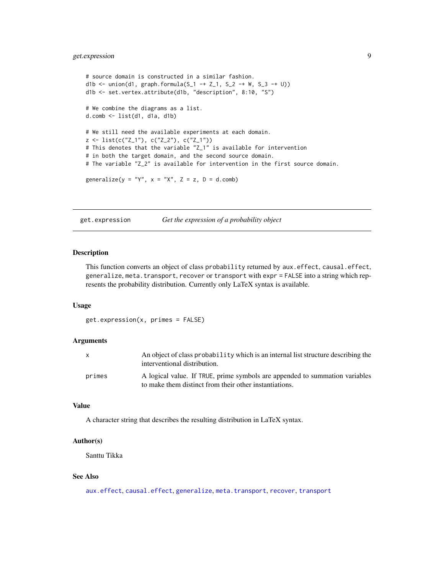#### <span id="page-8-0"></span>get.expression 9

```
# source domain is constructed in a similar fashion.
d1b <- union(d1, graph.formula(S_1 -+ Z_1, S_2 -+ W, S_3 -+ U))
d1b <- set.vertex.attribute(d1b, "description", 8:10, "S")
# We combine the diagrams as a list.
d.comb <- list(d1, d1a, d1b)
# We still need the available experiments at each domain.
z \le list(c("Z_1"), c("Z_2"), c("Z_1"))
# This denotes that the variable "Z_1" is available for intervention
# in both the target domain, and the second source domain.
# The variable "Z_2" is available for intervention in the first source domain.
generalize(y = "Y", x = "X", Z = z, D = d.comb)
```
<span id="page-8-1"></span>get.expression *Get the expression of a probability object*

#### Description

This function converts an object of class probability returned by aux.effect, causal.effect, generalize, meta.transport, recover or transport with expr = FALSE into a string which represents the probability distribution. Currently only LaTeX syntax is available.

#### Usage

get.expression(x, primes = FALSE)

#### Arguments

| X      | An object of class probability which is an internal list structure describing the<br>interventional distribution.                     |
|--------|---------------------------------------------------------------------------------------------------------------------------------------|
| primes | A logical value. If TRUE, prime symbols are appended to summation variables<br>to make them distinct from their other instantiations. |

#### Value

A character string that describes the resulting distribution in LaTeX syntax.

#### Author(s)

Santtu Tikka

#### See Also

[aux.effect](#page-3-1), [causal.effect](#page-4-1), [generalize](#page-6-1), [meta.transport](#page-9-1), [recover](#page-12-1), [transport](#page-15-1)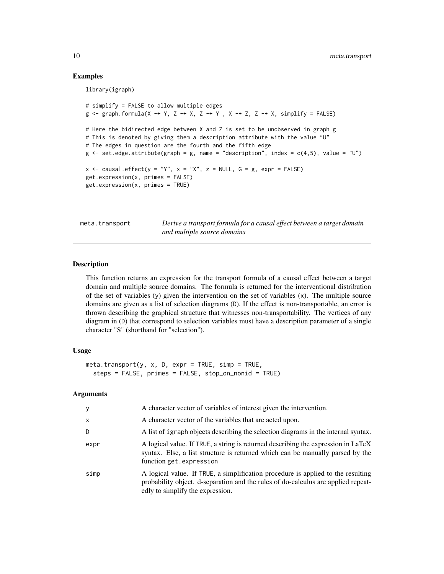#### Examples

library(igraph)

```
# simplify = FALSE to allow multiple edges
g \leftarrow graph.format(a) \rightarrow Y, Z \rightarrow X, Z \rightarrow Y, X \rightarrow Z, Z \rightarrow X, simplify = FALSE)
# Here the bidirected edge between X and Z is set to be unobserved in graph g
# This is denoted by giving them a description attribute with the value "U"
# The edges in question are the fourth and the fifth edge
g \le -set.edge.attribute(graph = g, name = "description", index = c(4,5), value = "U")
x \leq -c causal.effect(y = "Y", x = "X", z = NULL, G = g, expr = FALSE)get.expression(x, primes = FALSE)
get.expression(x, primes = TRUE)
```
<span id="page-9-1"></span>meta.transport *Derive a transport formula for a causal effect between a target domain and multiple source domains*

#### **Description**

This function returns an expression for the transport formula of a causal effect between a target domain and multiple source domains. The formula is returned for the interventional distribution of the set of variables  $(y)$  given the intervention on the set of variables  $(x)$ . The multiple source domains are given as a list of selection diagrams (D). If the effect is non-transportable, an error is thrown describing the graphical structure that witnesses non-transportability. The vertices of any diagram in (D) that correspond to selection variables must have a description parameter of a single character "S" (shorthand for "selection").

#### Usage

```
meta.transport(y, x, D, expr = TRUE, simp = TRUE,
  steps = FALSE, primes = FALSE, stop_on_nonid = TRUE)
```

| y            | A character vector of variables of interest given the intervention.                                                                                                                                       |
|--------------|-----------------------------------------------------------------------------------------------------------------------------------------------------------------------------------------------------------|
| $\mathsf{x}$ | A character vector of the variables that are acted upon.                                                                                                                                                  |
| D            | A list of igraph objects describing the selection diagrams in the internal syntax.                                                                                                                        |
| expr         | A logical value. If TRUE, a string is returned describing the expression in LaTeX<br>syntax. Else, a list structure is returned which can be manually parsed by the<br>function get.expression            |
| simp         | A logical value. If TRUE, a simplification procedure is applied to the resulting<br>probability object. d-separation and the rules of do-calculus are applied repeat-<br>edly to simplify the expression. |

<span id="page-9-0"></span>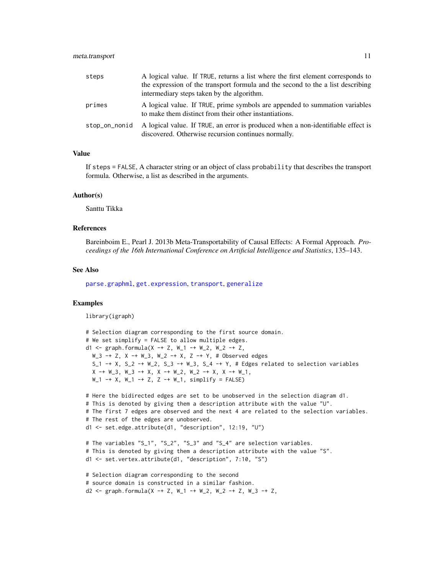<span id="page-10-0"></span>

| steps         | A logical value. If TRUE, returns a list where the first element corresponds to<br>the expression of the transport formula and the second to the a list describing<br>intermediary steps taken by the algorithm. |
|---------------|------------------------------------------------------------------------------------------------------------------------------------------------------------------------------------------------------------------|
| primes        | A logical value. If TRUE, prime symbols are appended to summation variables<br>to make them distinct from their other instantiations.                                                                            |
| stop_on_nonid | A logical value. If TRUE, an error is produced when a non-identifiable effect is<br>discovered. Otherwise recursion continues normally.                                                                          |

If steps = FALSE, A character string or an object of class probability that describes the transport formula. Otherwise, a list as described in the arguments.

#### Author(s)

Santtu Tikka

#### References

Bareinboim E., Pearl J. 2013b Meta-Transportability of Causal Effects: A Formal Approach. *Proceedings of the 16th International Conference on Artificial Intelligence and Statistics*, 135–143.

#### See Also

[parse.graphml](#page-11-1), [get.expression](#page-8-1), [transport](#page-15-1), [generalize](#page-6-1)

#### Examples

library(igraph)

```
# Selection diagram corresponding to the first source domain.
# We set simplify = FALSE to allow multiple edges.
d1 <- graph.formula(X -+ Z, W_1 -+ W_2, W_2 -+ Z,
 W_3 -+ Z, X -+ W_3, W_2 -+ X, Z -+ Y, # Observed edges
 S_1 -+ X, S_2 -+ W_2, S_3 -+ W_3, S_4 -+ Y, # Edges related to selection variables
 X \rightarrow W_3, W_3 \rightarrow X, X \rightarrow W_2, W_2 \rightarrow X, X \rightarrow W_1,
 W_1 -+ X, W_1 -+ Z, Z -+ W_1, simplify = FALSE)
# Here the bidirected edges are set to be unobserved in the selection diagram d1.
# This is denoted by giving them a description attribute with the value "U".
# The first 7 edges are observed and the next 4 are related to the selection variables.
# The rest of the edges are unobserved.
d1 <- set.edge.attribute(d1, "description", 12:19, "U")
# The variables "S_1", "S_2", "S_3" and "S_4" are selection variables.
# This is denoted by giving them a description attribute with the value "S".
d1 <- set.vertex.attribute(d1, "description", 7:10, "S")
# Selection diagram corresponding to the second
# source domain is constructed in a similar fashion.
d2 <- graph.formula(X -+ Z, W_1 -+ W_2, W_2 -+ Z, W_3 -+ Z,
```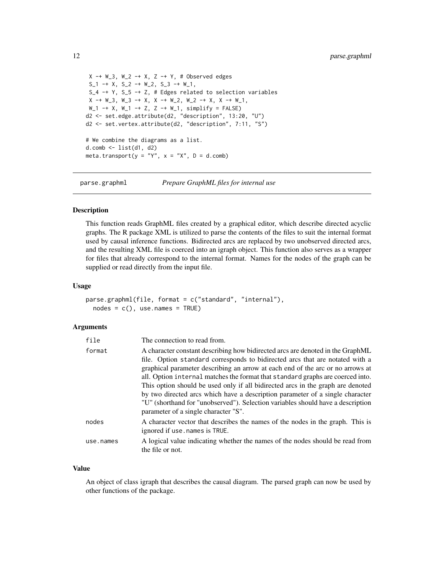```
X -+ W_3, W_2 -+ X, Z -+ Y, # Observed edges
S_1 -+ X, S_2 -+ W<sub>-</sub>2, S_3 -+ W<sub>-</sub>1,
S_4 -+ Y, S_5 -+ Z, # Edges related to selection variables
X \rightarrow W_3, W_3 \rightarrow X, X \rightarrow W_2, W_2 \rightarrow X, X \rightarrow W_1,
W_1 -+ X, W_1 -+ Z, Z -+ W_1, simplify = FALSE)
d2 <- set.edge.attribute(d2, "description", 13:20, "U")
d2 <- set.vertex.attribute(d2, "description", 7:11, "S")
# We combine the diagrams as a list.
d.comb <- list(d1, d2)
meta.transport(y = "Y", x = "X", D = d.comb)
```
<span id="page-11-1"></span>parse.graphml *Prepare GraphML files for internal use*

#### **Description**

This function reads GraphML files created by a graphical editor, which describe directed acyclic graphs. The R package XML is utilized to parse the contents of the files to suit the internal format used by causal inference functions. Bidirected arcs are replaced by two unobserved directed arcs, and the resulting XML file is coerced into an igraph object. This function also serves as a wrapper for files that already correspond to the internal format. Names for the nodes of the graph can be supplied or read directly from the input file.

#### Usage

```
parse.graphml(file, format = c("standard", "internal"),
 nodes = c(), use.names = TRUE)
```
#### Arguments

| file      | The connection to read from.                                                                                                                                                                                                                                                                                                                                                                                                                                                                                                                                                                                                      |
|-----------|-----------------------------------------------------------------------------------------------------------------------------------------------------------------------------------------------------------------------------------------------------------------------------------------------------------------------------------------------------------------------------------------------------------------------------------------------------------------------------------------------------------------------------------------------------------------------------------------------------------------------------------|
| format    | A character constant describing how bidirected arcs are denoted in the GraphML<br>file. Option standard corresponds to bidirected arcs that are notated with a<br>graphical parameter describing an arrow at each end of the arc or no arrows at<br>all. Option internal matches the format that standard graphs are coerced into.<br>This option should be used only if all bidirected arcs in the graph are denoted<br>by two directed arcs which have a description parameter of a single character<br>"U" (shorthand for "unobserved"). Selection variables should have a description<br>parameter of a single character "S". |
| nodes     | A character vector that describes the names of the nodes in the graph. This is<br>ignored if use, names is TRUE.                                                                                                                                                                                                                                                                                                                                                                                                                                                                                                                  |
| use.names | A logical value indicating whether the names of the nodes should be read from<br>the file or not.                                                                                                                                                                                                                                                                                                                                                                                                                                                                                                                                 |

#### Value

An object of class igraph that describes the causal diagram. The parsed graph can now be used by other functions of the package.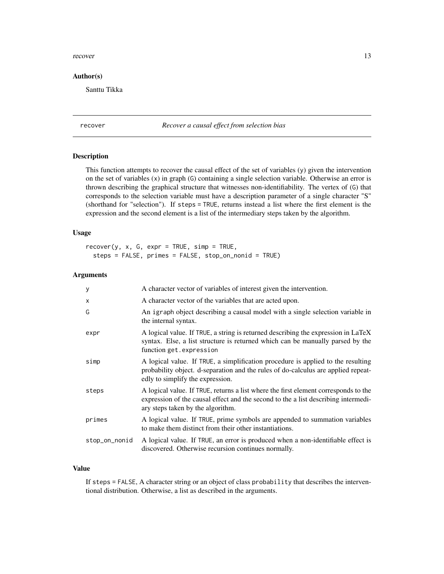#### <span id="page-12-0"></span>recover 13

#### Author(s)

Santtu Tikka

#### <span id="page-12-1"></span>recover *Recover a causal effect from selection bias*

#### Description

This function attempts to recover the causal effect of the set of variables (y) given the intervention on the set of variables (x) in graph (G) containing a single selection variable. Otherwise an error is thrown describing the graphical structure that witnesses non-identifiability. The vertex of (G) that corresponds to the selection variable must have a description parameter of a single character "S" (shorthand for "selection"). If steps = TRUE, returns instead a list where the first element is the expression and the second element is a list of the intermediary steps taken by the algorithm.

#### Usage

 $recover(y, x, G, expr = TRUE, simp = TRUE,$ steps = FALSE, primes = FALSE, stop\_on\_nonid = TRUE)

#### Arguments

| У             | A character vector of variables of interest given the intervention.                                                                                                                                            |
|---------------|----------------------------------------------------------------------------------------------------------------------------------------------------------------------------------------------------------------|
| X             | A character vector of the variables that are acted upon.                                                                                                                                                       |
| G             | An igraph object describing a causal model with a single selection variable in<br>the internal syntax.                                                                                                         |
| expr          | A logical value. If TRUE, a string is returned describing the expression in LaTeX<br>syntax. Else, a list structure is returned which can be manually parsed by the<br>function get.expression                 |
| simp          | A logical value. If TRUE, a simplification procedure is applied to the resulting<br>probability object. d-separation and the rules of do-calculus are applied repeat-<br>edly to simplify the expression.      |
| steps         | A logical value. If TRUE, returns a list where the first element corresponds to the<br>expression of the causal effect and the second to the a list describing intermedi-<br>ary steps taken by the algorithm. |
| primes        | A logical value. If TRUE, prime symbols are appended to summation variables<br>to make them distinct from their other instantiations.                                                                          |
| stop_on_nonid | A logical value. If TRUE, an error is produced when a non-identifiable effect is<br>discovered. Otherwise recursion continues normally.                                                                        |

#### Value

If steps = FALSE, A character string or an object of class probability that describes the interventional distribution. Otherwise, a list as described in the arguments.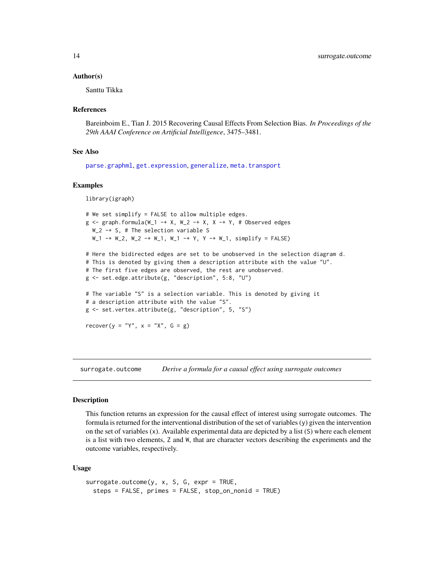#### <span id="page-13-0"></span>Author(s)

Santtu Tikka

#### References

Bareinboim E., Tian J. 2015 Recovering Causal Effects From Selection Bias. *In Proceedings of the 29th AAAI Conference on Artificial Intelligence*, 3475–3481.

#### See Also

[parse.graphml](#page-11-1), [get.expression](#page-8-1), [generalize](#page-6-1), [meta.transport](#page-9-1)

#### Examples

library(igraph)

```
# We set simplify = FALSE to allow multiple edges.
g \leftarrow graph.formula(W_1 + X, W_2 -+X, X -+Y, # Observed edgesW_2 -+ S, # The selection variable S
 W_1 -+ W_2, W_2 -+ W_1, W_1 -+ Y, Y -+ W_1, simplify = FALSE)
# Here the bidirected edges are set to be unobserved in the selection diagram d.
# This is denoted by giving them a description attribute with the value "U".
# The first five edges are observed, the rest are unobserved.
g <- set.edge.attribute(g, "description", 5:8, "U")
# The variable "S" is a selection variable. This is denoted by giving it
# a description attribute with the value "S".
g <- set.vertex.attribute(g, "description", 5, "S")
recover(y = "Y", x = "X", G = g)
```
surrogate.outcome *Derive a formula for a causal effect using surrogate outcomes*

#### Description

This function returns an expression for the causal effect of interest using surrogate outcomes. The formula is returned for the interventional distribution of the set of variables (y) given the intervention on the set of variables (x). Available experimental data are depicted by a list (S) where each element is a list with two elements, Z and W, that are character vectors describing the experiments and the outcome variables, respectively.

#### Usage

```
surrogate.outcome(y, x, S, G, expr = TRUE,
 steps = FALSE, primes = FALSE, stop_on_nonid = TRUE)
```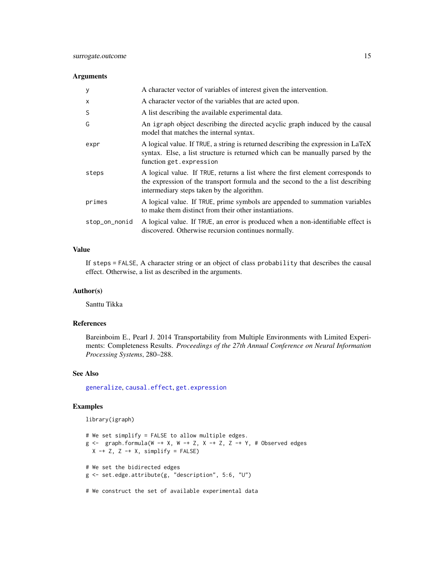#### <span id="page-14-0"></span>Arguments

| y             | A character vector of variables of interest given the intervention.                                                                                                                                              |
|---------------|------------------------------------------------------------------------------------------------------------------------------------------------------------------------------------------------------------------|
| X             | A character vector of the variables that are acted upon.                                                                                                                                                         |
| S             | A list describing the available experimental data.                                                                                                                                                               |
| G             | An igraph object describing the directed acyclic graph induced by the causal<br>model that matches the internal syntax.                                                                                          |
| expr          | A logical value. If TRUE, a string is returned describing the expression in LaTeX<br>syntax. Else, a list structure is returned which can be manually parsed by the<br>function get.expression                   |
| steps         | A logical value. If TRUE, returns a list where the first element corresponds to<br>the expression of the transport formula and the second to the a list describing<br>intermediary steps taken by the algorithm. |
| primes        | A logical value. If TRUE, prime symbols are appended to summation variables<br>to make them distinct from their other instantiations.                                                                            |
| stop_on_nonid | A logical value. If TRUE, an error is produced when a non-identifiable effect is<br>discovered. Otherwise recursion continues normally.                                                                          |

#### Value

If steps = FALSE, A character string or an object of class probability that describes the causal effect. Otherwise, a list as described in the arguments.

#### Author(s)

Santtu Tikka

#### References

Bareinboim E., Pearl J. 2014 Transportability from Multiple Environments with Limited Experiments: Completeness Results. *Proceedings of the 27th Annual Conference on Neural Information Processing Systems*, 280–288.

#### See Also

[generalize](#page-6-1), [causal.effect](#page-4-1), [get.expression](#page-8-1)

#### Examples

library(igraph)

```
# We set simplify = FALSE to allow multiple edges.
g \leftarrow graph.formula(W -+ X, W -+ Z, X -+ Z, Z -+ Y, # Observed edges
  X -+ Z, Z -+ X, simplify = FALSE)
# We set the bidirected edges
g <- set.edge.attribute(g, "description", 5:6, "U")
```
# We construct the set of available experimental data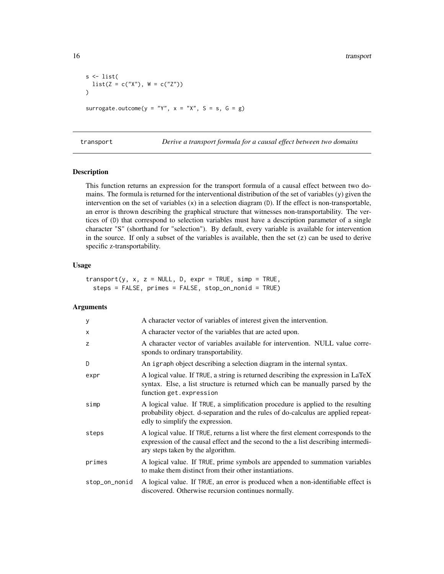```
s \leftarrow list(list(Z = c("X"), W = c("Z"))
surrogate.outcome(y = "Y", x = "X", S = s, G = g)
```
<span id="page-15-1"></span>transport *Derive a transport formula for a causal effect between two domains*

#### Description

This function returns an expression for the transport formula of a causal effect between two domains. The formula is returned for the interventional distribution of the set of variables (y) given the intervention on the set of variables (x) in a selection diagram (D). If the effect is non-transportable, an error is thrown describing the graphical structure that witnesses non-transportability. The vertices of (D) that correspond to selection variables must have a description parameter of a single character "S" (shorthand for "selection"). By default, every variable is available for intervention in the source. If only a subset of the variables is available, then the set  $(z)$  can be used to derive specific z-transportability.

#### Usage

 $transport(y, x, z = NULL, D, expr = TRUE, simp = TRUE,$ steps = FALSE, primes = FALSE, stop\_on\_nonid = TRUE)

| y             | A character vector of variables of interest given the intervention.                                                                                                                                            |
|---------------|----------------------------------------------------------------------------------------------------------------------------------------------------------------------------------------------------------------|
| $\mathsf{x}$  | A character vector of the variables that are acted upon.                                                                                                                                                       |
| z             | A character vector of variables available for intervention. NULL value corre-<br>sponds to ordinary transportability.                                                                                          |
| D             | An igraph object describing a selection diagram in the internal syntax.                                                                                                                                        |
| expr          | A logical value. If TRUE, a string is returned describing the expression in LaTeX<br>syntax. Else, a list structure is returned which can be manually parsed by the<br>function get.expression                 |
| simp          | A logical value. If TRUE, a simplification procedure is applied to the resulting<br>probability object. d-separation and the rules of do-calculus are applied repeat-<br>edly to simplify the expression.      |
| steps         | A logical value. If TRUE, returns a list where the first element corresponds to the<br>expression of the causal effect and the second to the a list describing intermedi-<br>ary steps taken by the algorithm. |
| primes        | A logical value. If TRUE, prime symbols are appended to summation variables<br>to make them distinct from their other instantiations.                                                                          |
| stop_on_nonid | A logical value. If TRUE, an error is produced when a non-identifiable effect is<br>discovered. Otherwise recursion continues normally.                                                                        |

<span id="page-15-0"></span>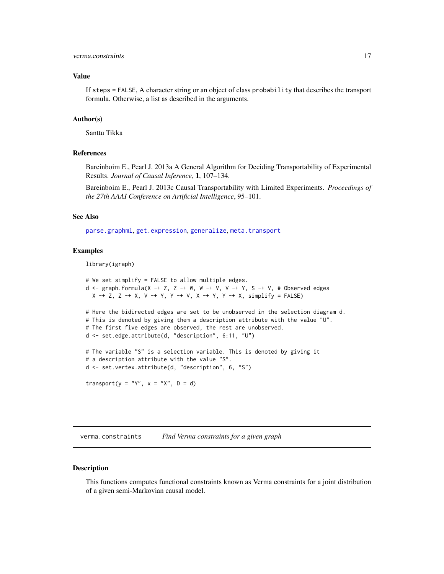<span id="page-16-0"></span>If steps = FALSE, A character string or an object of class probability that describes the transport formula. Otherwise, a list as described in the arguments.

#### Author(s)

Santtu Tikka

#### References

Bareinboim E., Pearl J. 2013a A General Algorithm for Deciding Transportability of Experimental Results. *Journal of Causal Inference*, 1, 107–134.

Bareinboim E., Pearl J. 2013c Causal Transportability with Limited Experiments. *Proceedings of the 27th AAAI Conference on Artificial Intelligence*, 95–101.

#### See Also

[parse.graphml](#page-11-1), [get.expression](#page-8-1), [generalize](#page-6-1), [meta.transport](#page-9-1)

#### Examples

library(igraph)

```
# We set simplify = FALSE to allow multiple edges.
d <- graph.formula(X -+ Z, Z -+ W, W -+ V, V -+ Y, S -+ V, # Observed edges
  X -+ Z, Z -+ X, V -+ Y, Y -+ V, X -+ Y, Y -+ X, simplify = FALSE# Here the bidirected edges are set to be unobserved in the selection diagram d.
# This is denoted by giving them a description attribute with the value "U".
# The first five edges are observed, the rest are unobserved.
d <- set.edge.attribute(d, "description", 6:11, "U")
# The variable "S" is a selection variable. This is denoted by giving it
# a description attribute with the value "S".
d <- set.vertex.attribute(d, "description", 6, "S")
transport(y = "Y", x = "X", D = d)
```
verma.constraints *Find Verma constraints for a given graph*

#### Description

This functions computes functional constraints known as Verma constraints for a joint distribution of a given semi-Markovian causal model.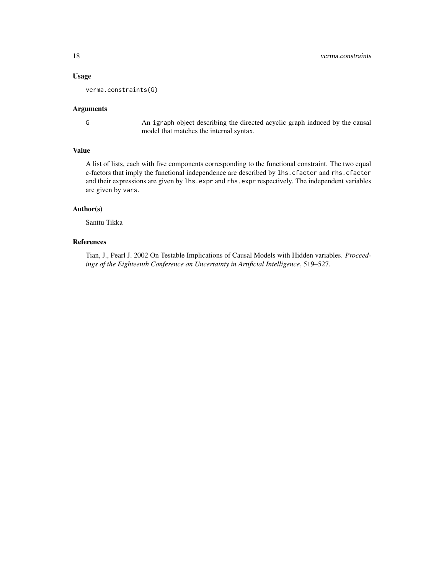#### Usage

verma.constraints(G)

#### Arguments

G An igraph object describing the directed acyclic graph induced by the causal model that matches the internal syntax.

#### Value

A list of lists, each with five components corresponding to the functional constraint. The two equal c-factors that imply the functional independence are described by lhs.cfactor and rhs.cfactor and their expressions are given by lhs.expr and rhs.expr respectively. The independent variables are given by vars.

#### Author(s)

Santtu Tikka

#### References

Tian, J., Pearl J. 2002 On Testable Implications of Causal Models with Hidden variables. *Proceedings of the Eighteenth Conference on Uncertainty in Artificial Intelligence*, 519–527.